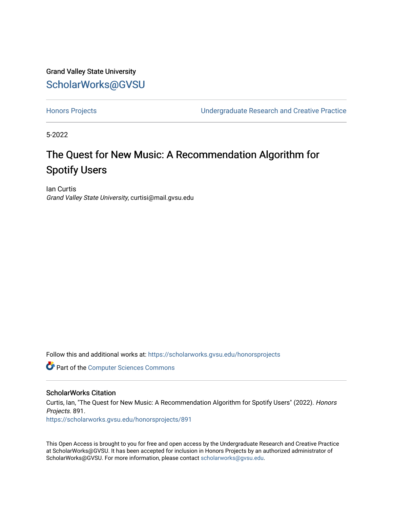Grand Valley State University [ScholarWorks@GVSU](https://scholarworks.gvsu.edu/) 

[Honors Projects](https://scholarworks.gvsu.edu/honorsprojects) [Undergraduate Research and Creative Practice](https://scholarworks.gvsu.edu/urcp) 

5-2022

## The Quest for New Music: A Recommendation Algorithm for Spotify Users

Ian Curtis Grand Valley State University, curtisi@mail.gvsu.edu

Follow this and additional works at: [https://scholarworks.gvsu.edu/honorsprojects](https://scholarworks.gvsu.edu/honorsprojects?utm_source=scholarworks.gvsu.edu%2Fhonorsprojects%2F891&utm_medium=PDF&utm_campaign=PDFCoverPages) 

**Part of the [Computer Sciences Commons](https://network.bepress.com/hgg/discipline/142?utm_source=scholarworks.gvsu.edu%2Fhonorsprojects%2F891&utm_medium=PDF&utm_campaign=PDFCoverPages)** 

#### ScholarWorks Citation

Curtis, Ian, "The Quest for New Music: A Recommendation Algorithm for Spotify Users" (2022). Honors Projects. 891.

[https://scholarworks.gvsu.edu/honorsprojects/891](https://scholarworks.gvsu.edu/honorsprojects/891?utm_source=scholarworks.gvsu.edu%2Fhonorsprojects%2F891&utm_medium=PDF&utm_campaign=PDFCoverPages) 

This Open Access is brought to you for free and open access by the Undergraduate Research and Creative Practice at ScholarWorks@GVSU. It has been accepted for inclusion in Honors Projects by an authorized administrator of ScholarWorks@GVSU. For more information, please contact [scholarworks@gvsu.edu](mailto:scholarworks@gvsu.edu).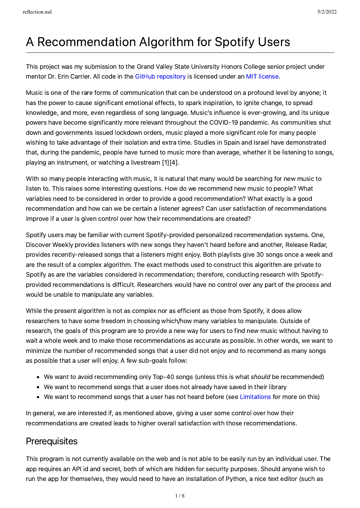# A Recommendation Algorithm for Spotify Users

This project was my submission to the Grand Valley State University Honors College senior project under mentor Dr. Erin Carrier. All code in the GitHub [repository](https://github.com/ian-curtis/recommender) is licensed under an MIT [license](file:///Users/iancurtis/Documents/coding/recommender/reflection/LICENSE).

Music is one of the rare forms of communication that can be understood on a profound level by anyone; it has the power to cause significant emotional effects, to spark inspiration, to ignite change, to spread knowledge, and more, even regardless of song language. Music's influence is ever-growing, and its unique powers have become significantly more relevant throughout the COVID-19 pandemic. As communities shut down and governments issued lockdown orders, music played a more significant role for many people wishing to take advantage of their isolation and extra time. Studies in Spain and Israel have demonstrated that, during the pandemic, people have turned to music more than average, whether it be listening to songs, playing an instrument, or watching a livestream [1][4].

With so many people interacting with music, it is natural that many would be searching for new music to listen to. This raises some interesting questions. How do we recommend new music to people? What variables need to be considered in order to provide a good recommendation? What exactly is a good recommendation and how can we be certain a listener agrees? Can user satisfaction of recommendations improve if a user is given control over how their recommendations are created?

Spotify users may be familiar with current Spotify-provided personalized recommendation systems. One, Discover Weekly provides listeners with new songs they haven't heard before and another, Release Radar, provides recently-released songs that a listeners might enjoy. Both playlists give 30 songs once a week and are the result of a complex algorithm. The exact methods used to construct this algorithm are private to Spotify as are the variables considered in recommendation; therefore, conducting research with Spotifyprovided recommendations is difficult. Researchers would have no control over any part of the process and would be unable to manipulate any variables.

While the present algorithm is not as complex nor as efficient as those from Spotify, it does allow researchers to have some freedom in choosing which/how many variables to manipulate. Outside of research, the goals of this program are to provide a new way for users to find new music without having to wait a whole week and to make those recommendations as accurate as possible. In other words, we want to minimize the number of recommended songs that a user did not enjoy and to recommend as many songs as possible that a user will enjoy. A few sub-goals follow:

- We want to avoid recommending only Top-40 songs (unless this is what *should* be recommended)
- We want to recommend songs that a user does not already have saved in their library
- We want to recommend songs that a user has not heard before (see [Limitations](#page-6-0) for more on this)

In general, we are interested if, as mentioned above, giving a user some control over how their recommendations are created leads to higher overall satisfaction with those recommendations.

### **Prerequisites**

This program is not currently available on the web and is not able to be easily run by an individual user. The app requires an API id and secret, both of which are hidden for security purposes. Should anyone wish to run the app for themselves, they would need to have an installation of Python, a nice text editor (such as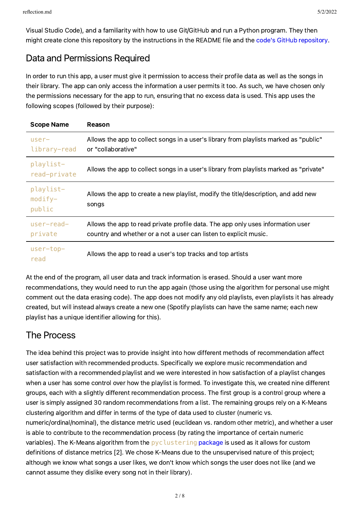### Data and Permissions Required

In order to run this app, a user must give it permission to access their profile data as well as the songs in their library. The app can only access the information a user permits it too. As such, we have chosen only the permissions necessary for the app to run, ensuring that no excess data is used. This app uses the following scopes (followed by their purpose):

| <b>Scope Name</b>                | Reason                                                                                                                                               |
|----------------------------------|------------------------------------------------------------------------------------------------------------------------------------------------------|
| $user-$<br>library-read          | Allows the app to collect songs in a user's library from playlists marked as "public"<br>or "collaborative"                                          |
| playlist-<br>read-private        | Allows the app to collect songs in a user's library from playlists marked as "private"                                                               |
| playlist-<br>$modify-$<br>public | Allows the app to create a new playlist, modify the title/description, and add new<br>songs                                                          |
| $user-read-$<br>private          | Allows the app to read private profile data. The app only uses information user<br>country and whether or a not a user can listen to explicit music. |
| $user-top-$<br>read              | Allows the app to read a user's top tracks and top artists                                                                                           |

At the end of the program, all user data and track information is erased. Should a user want more recommendations, they would need to run the app again (those using the algorithm for personal use might comment out the data erasing code). The app does not modify any old playlists, even playlists it has already created, but will instead always create a new one (Spotify playlists can have the same name; each new playlist has a unique identifier allowing for this).

### The Process

The idea behind this project was to provide insight into how different methods of recommendation affect user satisfaction with recommended products. Specifically we explore music recommendation and satisfaction with a recommended playlist and we were interested in how satisfaction of a playlist changes when a user has some control over how the playlist is formed. To investigate this, we created nine different groups, each with a slightly different recommendation process. The first group is a control group where a user is simply assigned 30 random recommendations from a list. The remaining groups rely on a K-Means clustering algorithm and differ in terms of the type of data used to cluster (numeric vs. numeric/ordinal/nominal), the distance metric used (euclidean vs. random other metric), and whether a user is able to contribute to the recommendation process (by rating the importance of certain numeric variables). The K-Means algorithm from the [pyclustering](https://github.com/annoviko/pyclustering) package is used as it allows for custom definitions of distance metrics [2]. We chose K-Means due to the unsupervised nature of this project; although we know what songs a user likes, we don't know which songs the user does not like (and we cannot assume they dislike every song not in their library).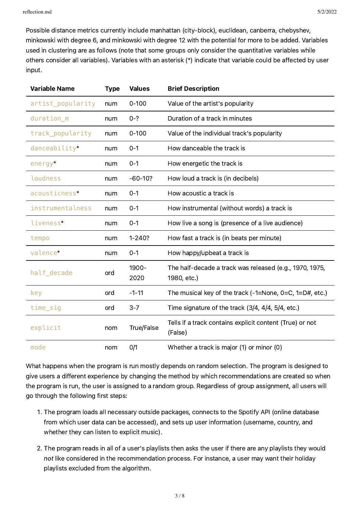Possible distance metrics currently include manhattan (city-block), euclidean, canberra, chebyshev, minkowski with degree 6, and minkowski with degree 12 with the potential for more to be added. Variables used in clustering are as follows (note that some groups only consider the quantitative variables while others consider all variables). Variables with an asterisk (\*) indicate that variable could be affected by user input.

| <b>Variable Name</b> | <b>Type</b> | <b>Values</b> | <b>Brief Description</b>                                               |
|----------------------|-------------|---------------|------------------------------------------------------------------------|
| artist_popularity    | num         | $0 - 100$     | Value of the artist's popularity                                       |
| duration_m           | num         | $0 - ?$       | Duration of a track in minutes                                         |
| track_popularity     | num         | $0 - 100$     | Value of the individual track's popularity                             |
| danceability*        | num         | $0 - 1$       | How danceable the track is                                             |
| energy*              | num         | $0 - 1$       | How energetic the track is                                             |
| loudness             | num         | $-60-10?$     | How loud a track is (in decibels)                                      |
| acousticness*        | num         | $0 - 1$       | How acoustic a track is                                                |
| instrumentalness     | num         | $0 - 1$       | How instrumental (without words) a track is                            |
| liveness*            | num         | $0 - 1$       | How live a song is (presence of a live audience)                       |
| tempo                | num         | $1 - 240?$    | How fast a track is (in beats per minute)                              |
| valence*             | num         | $0 - 1$       | How happy/upbeat a track is                                            |
| half_decade          | ord         | 1900-<br>2020 | The half-decade a track was released (e.g., 1970, 1975,<br>1980, etc.) |
| key                  | ord         | $-1-11$       | The musical key of the track $(-1)$ =None, $0=$ C, $1=$ D#, etc.)      |
| time_sig             | ord         | $3 - 7$       | Time signature of the track (3/4, 4/4, 5/4, etc.)                      |
| explicit             | nom         | True/False    | Tells if a track contains explicit content (True) or not<br>(False)    |
| mode                 | nom         | 0/1           | Whether a track is major (1) or minor (0)                              |

What happens when the program is run mostly depends on random selection. The program is designed to give users a different experience by changing the method by which recommendations are created so when the program is run, the user is assigned to a random group. Regardless of group assignment, all users will go through the following first steps:

- . The program loads all necessary outside packages, connects to the Spotify API (online database from which user data can be accessed), and sets up user information (username, country, and whether they can listen to explicit music).
- . The program reads in all of a user's playlists then asks the user if there are any playlists they would not like considered in the recommendation process. For instance, a user may want their holiday playlists excluded from the algorithm.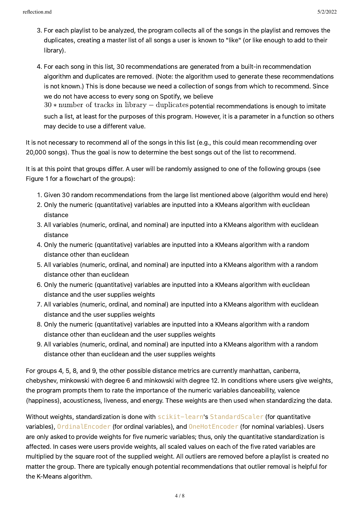- . For each playlist to be analyzed, the program collects all of the songs in the playlist and removes the duplicates, creating a master list of all songs a user is known to "like" (or like enough to add to their library).
- . For each song in this list, 30 recommendations are generated from a built-in recommendation algorithm and duplicates are removed. (Note: the algorithm used to generate these recommendations is not known.) This is done because we need a collection of songs from which to recommend. Since we do not have access to every song on Spotify, we believe  $30*$  number of tracks in library  $-$  duplicates potential recommendations is enough to imitate such a list, at least for the purposes of this program. However, it is a parameter in a function so others may decide to use a different value.

It is not necessary to recommend all of the songs in this list (e.g., this could mean recommending over 20,000 songs). Thus the goal is now to determine the best songs out of the list to recommend.

It is at this point that groups differ. A user will be randomly assigned to one of the following groups (see Figure 1 for a flowchart of the groups):

- . Given 30 random recommendations from the large list mentioned above (algorithm would end here)
- . Only the numeric (quantitative) variables are inputted into a KMeans algorithm with euclidean distance
- . All variables (numeric, ordinal, and nominal) are inputted into a KMeans algorithm with euclidean distance
- . Only the numeric (quantitative) variables are inputted into a KMeans algorithm with a random distance other than euclidean
- . All variables (numeric, ordinal, and nominal) are inputted into a KMeans algorithm with a random distance other than euclidean
- . Only the numeric (quantitative) variables are inputted into a KMeans algorithm with euclidean distance and the user supplies weights
- . All variables (numeric, ordinal, and nominal) are inputted into a KMeans algorithm with euclidean distance and the user supplies weights
- . Only the numeric (quantitative) variables are inputted into a KMeans algorithm with a random distance other than euclidean and the user supplies weights
- . All variables (numeric, ordinal, and nominal) are inputted into a KMeans algorithm with a random distance other than euclidean and the user supplies weights

For groups 4, 5, 8, and 9, the other possible distance metrics are currently manhattan, canberra, chebyshev, minkowski with degree 6 and minkowski with degree 12. In conditions where users give weights, the program prompts them to rate the importance of the numeric variables danceability, valence (happiness), acousticness, liveness, and energy. These weights are then used when standardizing the data.

Without weights, standardization is done with scikit-learn's StandardScaler (for quantitative variables), OrdinalEncoder (for ordinal variables), and OneHotEncoder (for nominal variables). Users are only asked to provide weights for five numeric variables; thus, only the quantitative standardization is affected. In cases were users provide weights, all scaled values on each of the five rated variables are multiplied by the square root of the supplied weight. All outliers are removed before a playlist is created no matter the group. There are typically enough potential recommendations that outlier removal is helpful for the K-Means algorithm.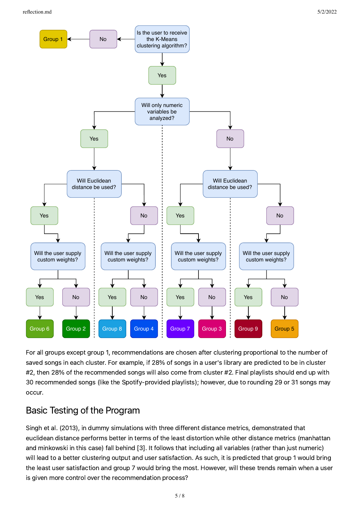

For all groups except group 1, recommendations are chosen after clustering proportional to the number of saved songs in each cluster. For example, if 28% of songs in a user's library are predicted to be in cluster #2, then 28% of the recommended songs will also come from cluster #2. Final playlists should end up with 30 recommended songs (like the Spotify-provided playlists); however, due to rounding 29 or 31 songs may occur.

### Basic Testing of the Program

Singh et al. (2013), in dummy simulations with three different distance metrics, demonstrated that euclidean distance performs better in terms of the least distortion while other distance metrics (manhattan and minkowski in this case) fall behind [3]. It follows that including all variables (rather than just numeric) will lead to a better clustering output and user satisfaction. As such, it is predicted that group 1 would bring the least user satisfaction and group 7 would bring the most. However, will these trends remain when a user is given more control over the recommendation process?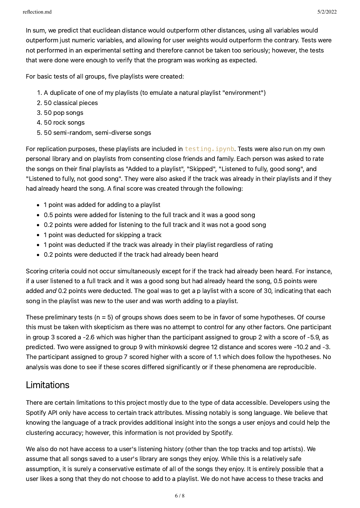In sum, we predict that euclidean distance would outperform other distances, using all variables would outperform just numeric variables, and allowing for user weights would outperform the contrary. Tests were not performed in an experimental setting and therefore cannot be taken too seriously; however, the tests that were done were enough to verify that the program was working as expected.

For basic tests of all groups, five playlists were created:

- . A duplicate of one of my playlists (to emulate a natural playlist "environment")
- . 50 classical pieces
- . 50 pop songs
- . 50 rock songs
- . 50 semi-random, semi-diverse songs

For replication purposes, these playlists are included in testing. ipynb. Tests were also run on my own personal library and on playlists from consenting close friends and family. Each person was asked to rate the songs on their final playlists as "Added to a playlist", "Skipped", "Listened to fully, good song", and "Listened to fully, not good song". They were also asked if the track was already in their playlists and if they had already heard the song. A final score was created through the following:

- 1 point was added for adding to a playlist
- 0.5 points were added for listening to the full track and it was a good song
- 0.2 points were added for listening to the full track and it was not a good song
- 1 point was deducted for skipping a track
- 1 point was deducted if the track was already in their playlist regardless of rating
- 0.2 points were deducted if the track had already been heard

Scoring criteria could not occur simultaneously except for if the track had already been heard. For instance, if a user listened to a full track and it was a good song but had already heard the song, 0.5 points were added and 0.2 points were deducted. The goal was to get a p laylist with a score of 30, indicating that each song in the playlist was new to the user and was worth adding to a playlist.

These preliminary tests ( $n = 5$ ) of groups shows does seem to be in favor of some hypotheses. Of course this must be taken with skepticism as there was no attempt to control for any other factors. One participant in group 3 scored a -2.6 which was higher than the participant assigned to group 2 with a score of -5.9, as predicted. Two were assigned to group 9 with minkowski degree 12 distance and scores were -10.2 and -3. The participant assigned to group 7 scored higher with a score of 1.1 which does follow the hypotheses. No analysis was done to see if these scores differed significantly or if these phenomena are reproducible.

### <span id="page-6-0"></span>Limitations

There are certain limitations to this project mostly due to the type of data accessible. Developers using the Spotify API only have access to certain track attributes. Missing notably is song language. We believe that knowing the language of a track provides additional insight into the songs a user enjoys and could help the clustering accuracy; however, this information is not provided by Spotify.

We also do not have access to a user's listening history (other than the top tracks and top artists). We assume that all songs saved to a user's library are songs they enjoy. While this is a relatively safe assumption, it is surely a conservative estimate of all of the songs they enjoy. It is entirely possible that a user likes a song that they do not choose to add to a playlist. We do not have access to these tracks and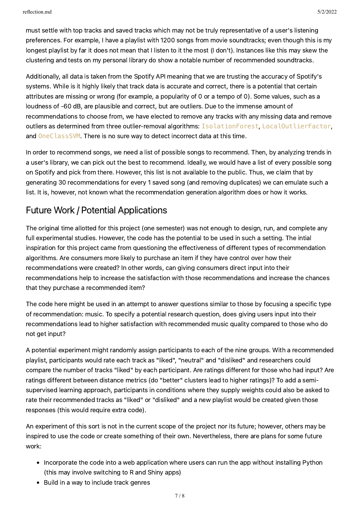must settle with top tracks and saved tracks which may not be truly representative of a user's listening preferences. For example, I have a playlist with 1200 songs from movie soundtracks; even though this is my longest playlist by far it does not mean that I listen to it the most (I don't). Instances like this may skew the clustering and tests on my personal library do show a notable number of recommended soundtracks.

Additionally, all data is taken from the Spotify API meaning that we are trusting the accuracy of Spotify's systems. While is it highly likely that track data is accurate and correct, there is a potential that certain attributes are missing or wrong (for example, a popularity of 0 or a tempo of 0). Some values, such as a loudness of -60 dB, are plausible and correct, but are outliers. Due to the immense amount of recommendations to choose from, we have elected to remove any tracks with any missing data and remove outliers as determined from three outlier-removal algorithms: IsolationForest, LocalOutlierFactor, and OneClassSVM. There is no sure way to detect incorrect data at this time.

In order to recommend songs, we need a list of possible songs to recommend. Then, by analyzing trends in a user's library, we can pick out the best to recommend. Ideally, we would have a list of every possible song on Spotify and pick from there. However, this list is not available to the public. Thus, we claim that by generating 30 recommendations for every 1 saved song (and removing duplicates) we can emulate such a list. It is, however, not known what the recommendation generation algorithm does or how it works.

### Future Work / Potential Applications

The original time allotted for this project (one semester) was not enough to design, run, and complete any full experimental studies. However, the code has the potential to be used in such a setting. The intial inspiration for this project came from questioning the effectiveness of different types of recommendation algorithms. Are consumers more likely to purchase an item if they have control over how their recommendations were created? In other words, can giving consumers direct input into their recommendations help to increase the satisfaction with those recommendations and increase the chances that they purchase a recommended item?

The code here might be used in an attempt to answer questions similar to those by focusing a specific type of recommendation: music. To specify a potential research question, does giving users input into their recommendations lead to higher satisfaction with recommended music quality compared to those who do not get input?

A potential experiment might randomly assign participants to each of the nine groups. With a recommended playlist, participants would rate each track as "liked", "neutral" and "disliked" and researchers could compare the number of tracks "liked" by each participant. Are ratings different for those who had input? Are ratings different between distance metrics (do "better" clusters lead to higher ratings)? To add a semisupervised learning approach, participants in conditions where they supply weights could also be asked to rate their recommended tracks as "liked" or "disliked" and a new playlist would be created given those responses (this would require extra code).

An experiment of this sort is not in the current scope of the project nor its future; however, others may be inspired to use the code or create something of their own. Nevertheless, there are plans for some future work:

- Incorporate the code into a web application where users can run the app without installing Python (this may involve switching to R and Shiny apps)
- Build in a way to include track genres